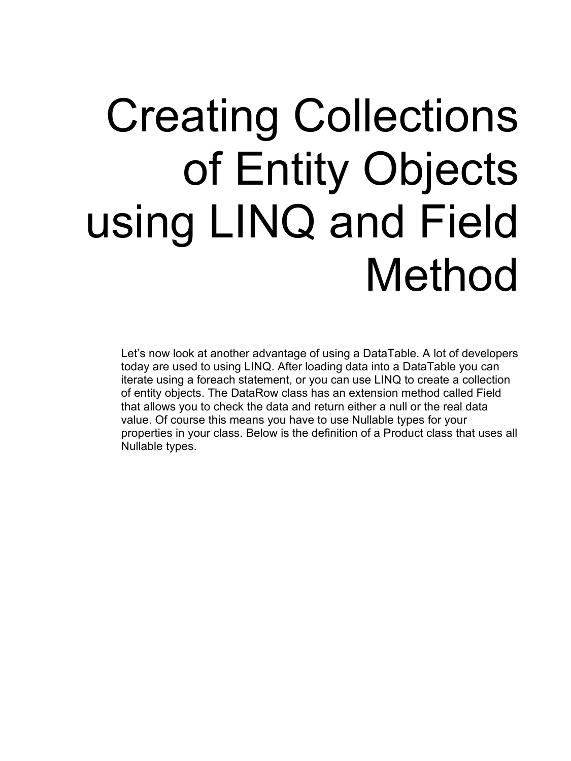## Creating Collections of Entity Objects using LINQ and Field Method

Let's now look at another advantage of using a DataTable. A lot of developers today are used to using LINQ. After loading data into a DataTable you can iterate using a foreach statement, or you can use LINQ to create a collection of entity objects. The DataRow class has an extension method called Field that allows you to check the data and return either a null or the real data value. Of course this means you have to use Nullable types for your properties in your class. Below is the definition of a Product class that uses all Nullable types.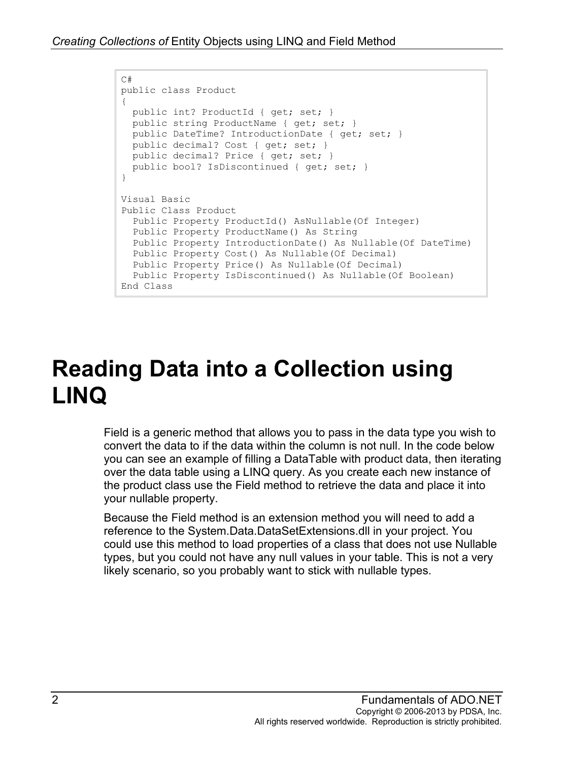```
C#
public class Product
{
  public int? ProductId { get; set; }
  public string ProductName { get; set; }
  public DateTime? IntroductionDate { get; set; }
  public decimal? Cost { get; set; }
 public decimal? Price { get; set; }
 public bool? IsDiscontinued { get; set; }
}
Visual Basic
Public Class Product
  Public Property ProductId() AsNullable(Of Integer)
  Public Property ProductName() As String
  Public Property IntroductionDate() As Nullable(Of DateTime)
  Public Property Cost() As Nullable(Of Decimal)
  Public Property Price() As Nullable(Of Decimal)
  Public Property IsDiscontinued() As Nullable(Of Boolean)
End Class
```
## **Reading Data into a Collection using LINQ**

Field is a generic method that allows you to pass in the data type you wish to convert the data to if the data within the column is not null. In the code below you can see an example of filling a DataTable with product data, then iterating over the data table using a LINQ query. As you create each new instance of the product class use the Field method to retrieve the data and place it into your nullable property.

Because the Field method is an extension method you will need to add a reference to the System.Data.DataSetExtensions.dll in your project. You could use this method to load properties of a class that does not use Nullable types, but you could not have any null values in your table. This is not a very likely scenario, so you probably want to stick with nullable types.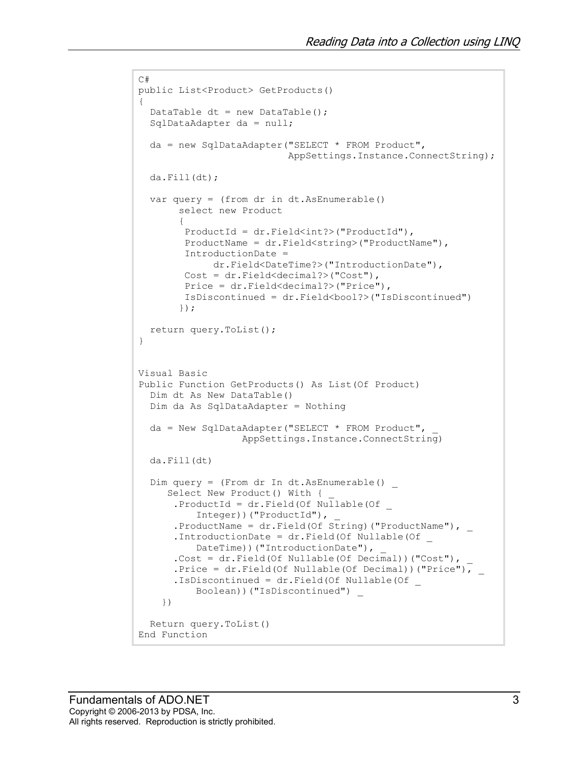```
C#
public List<Product> GetProducts()
{
  DataTable dt = new DataTable();
  SqlDataAdapter da = null;
  da = new SqlDataAdapter("SELECT * FROM Product",
                            AppSettings.Instance.ConnectString);
  da.Fill(dt);
 var query = (from dr in dt. As Enumerable()
        select new Product
\{ ProductId = dr.Field<int?>("ProductId"),
         ProductName = dr.Field<string>("ProductName"),
         IntroductionDate =
              dr.Field<DateTime?>("IntroductionDate"),
         Cost = dr.Field<decimal?>("Cost"),
         Price = dr.Field<decimal?>("Price"),
         IsDiscontinued = dr.Field<bool?>("IsDiscontinued")
        });
  return query.ToList();
}
Visual Basic
Public Function GetProducts() As List(Of Product)
   Dim dt As New DataTable()
  Dim da As SqlDataAdapter = Nothing
 da = New SqlDataAdapter("SELECT * FROM Product",
                   AppSettings.Instance.ConnectString)
  da.Fill(dt)
  Dim query = (From dr In dt.AsEnumerable() _
     Select New Product() With {
      .ProductId = dr.Field(Of NuIlabel(OfInteger))("ProductId"),
      .ProductName = dr.Field(Of String) ("ProductName"), _
       .IntroductionDate = dr.Field(Of Nullable(Of _
          DateTime))("IntroductionDate"),
       .Cost = dr.Field(Of Nullable(Of Decimal))("Cost"), _
       .Price = dr.Field(Of Nullable(Of Decimal))("Price"), _
       .IsDiscontinued = dr.Field(Of Nullable(Of _
           Boolean))("IsDiscontinued") _
     })
  Return query.ToList()
End Function
```